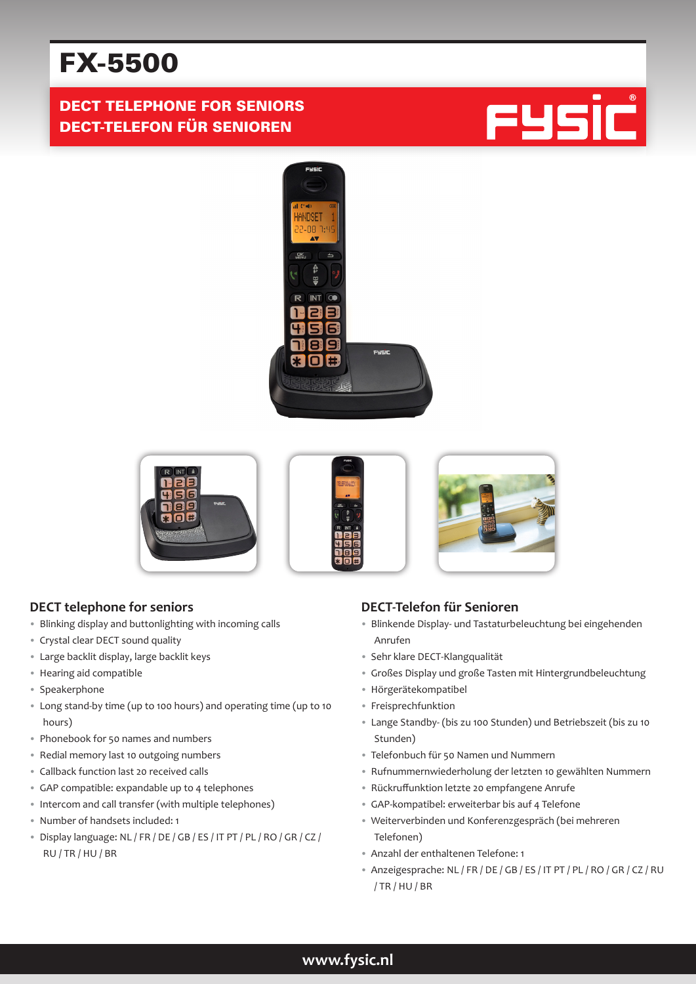# FX-5500

## DECT TELEPHONE FOR SENIORS DECT-TELEFON FÜR SENIOREN







#### **DECT telephone for seniors**

- Blinking display and buttonlighting with incoming calls
- Crystal clear DECT sound quality
- Large backlit display, large backlit keys
- Hearing aid compatible
- Speakerphone
- Long stand-by time (up to 100 hours) and operating time (up to 10 hours)
- Phonebook for 50 names and numbers
- Redial memory last 10 outgoing numbers
- Callback function last 20 received calls
- GAP compatible: expandable up to 4 telephones
- Intercom and call transfer (with multiple telephones)
- Number of handsets included: 1
- Display language: NL / FR / DE / GB / ES / IT PT / PL / RO / GR / CZ / RU / TR / HU / BR

## **DECT-Telefon für Senioren**

- Blinkende Display- und Tastaturbeleuchtung bei eingehenden Anrufen
- Sehr klare DECT-Klangqualität
- Großes Display und große Tasten mit Hintergrundbeleuchtung
- Hörgerätekompatibel
- Freisprechfunktion
- Lange Standby- (bis zu 100 Stunden) und Betriebszeit (bis zu 10 Stunden)
- Telefonbuch für 50 Namen und Nummern
- Rufnummernwiederholung der letzten 10 gewählten Nummern
- Rückruffunktion letzte 20 empfangene Anrufe
- GAP-kompatibel: erweiterbar bis auf 4 Telefone
- Weiterverbinden und Konferenzgespräch (bei mehreren Telefonen)
- Anzahl der enthaltenen Telefone: 1
- Anzeigesprache: NL / FR / DE / GB / ES / IT PT / PL / RO / GR / CZ / RU / TR / HU / BR

## **www.fysic.nl**